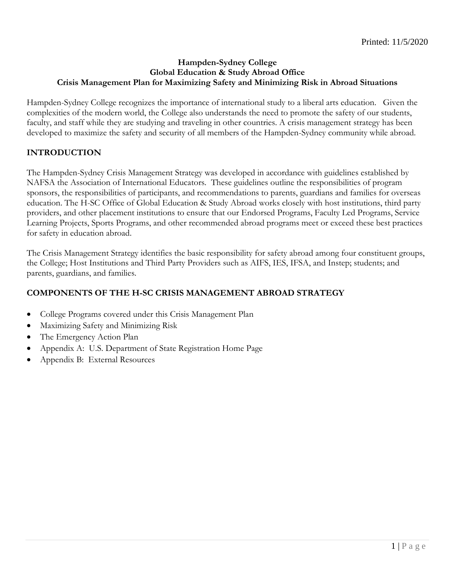# **Hampden-Sydney College Global Education & Study Abroad Office Crisis Management Plan for Maximizing Safety and Minimizing Risk in Abroad Situations**

Hampden-Sydney College recognizes the importance of international study to a liberal arts education. Given the complexities of the modern world, the College also understands the need to promote the safety of our students, faculty, and staff while they are studying and traveling in other countries. A crisis management strategy has been developed to maximize the safety and security of all members of the Hampden-Sydney community while abroad.

# **INTRODUCTION**

The Hampden-Sydney Crisis Management Strategy was developed in accordance with guidelines established by NAFSA the Association of International Educators. These guidelines outline the responsibilities of program sponsors, the responsibilities of participants, and recommendations to parents, guardians and families for overseas education. The H-SC Office of Global Education & Study Abroad works closely with host institutions, third party providers, and other placement institutions to ensure that our Endorsed Programs, Faculty Led Programs, Service Learning Projects, Sports Programs, and other recommended abroad programs meet or exceed these best practices for safety in education abroad.

The Crisis Management Strategy identifies the basic responsibility for safety abroad among four constituent groups, the College; Host Institutions and Third Party Providers such as AIFS, IES, IFSA, and Instep; students; and parents, guardians, and families.

# **COMPONENTS OF THE H-SC CRISIS MANAGEMENT ABROAD STRATEGY**

- College Programs covered under this Crisis Management Plan
- Maximizing Safety and Minimizing Risk
- The Emergency Action Plan
- Appendix A: U.S. Department of State Registration Home Page
- Appendix B: External Resources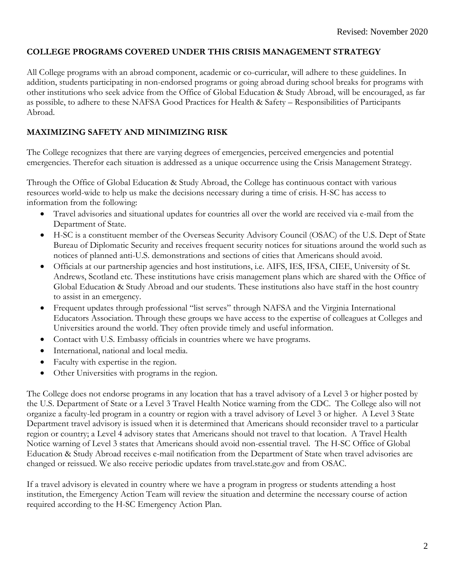# **COLLEGE PROGRAMS COVERED UNDER THIS CRISIS MANAGEMENT STRATEGY**

All College programs with an abroad component, academic or co-curricular, will adhere to these guidelines. In addition, students participating in non-endorsed programs or going abroad during school breaks for programs with other institutions who seek advice from the Office of Global Education & Study Abroad, will be encouraged, as far as possible, to adhere to these NAFSA Good Practices for Health & Safety – Responsibilities of Participants Abroad.

# **MAXIMIZING SAFETY AND MINIMIZING RISK**

The College recognizes that there are varying degrees of emergencies, perceived emergencies and potential emergencies. Therefor each situation is addressed as a unique occurrence using the Crisis Management Strategy.

Through the Office of Global Education & Study Abroad, the College has continuous contact with various resources world-wide to help us make the decisions necessary during a time of crisis. H-SC has access to information from the following:

- Travel advisories and situational updates for countries all over the world are received via e-mail from the Department of State.
- H-SC is a constituent member of the Overseas Security Advisory Council (OSAC) of the U.S. Dept of State Bureau of Diplomatic Security and receives frequent security notices for situations around the world such as notices of planned anti-U.S. demonstrations and sections of cities that Americans should avoid.
- Officials at our partnership agencies and host institutions, i.e. AIFS, IES, IFSA, CIEE, University of St. Andrews, Scotland etc. These institutions have crisis management plans which are shared with the Office of Global Education & Study Abroad and our students. These institutions also have staff in the host country to assist in an emergency.
- Frequent updates through professional "list serves" through NAFSA and the Virginia International Educators Association. Through these groups we have access to the expertise of colleagues at Colleges and Universities around the world. They often provide timely and useful information.
- Contact with U.S. Embassy officials in countries where we have programs.
- International, national and local media.
- Faculty with expertise in the region.
- Other Universities with programs in the region.

The College does not endorse programs in any location that has a travel advisory of a Level 3 or higher posted by the U.S. Department of State or a Level 3 Travel Health Notice warning from the CDC. The College also will not organize a faculty-led program in a country or region with a travel advisory of Level 3 or higher. A Level 3 State Department travel advisory is issued when it is determined that Americans should reconsider travel to a particular region or country; a Level 4 advisory states that Americans should not travel to that location. A Travel Health Notice warning of Level 3 states that Americans should avoid non-essential travel. The H-SC Office of Global Education & Study Abroad receives e-mail notification from the Department of State when travel advisories are changed or reissued. We also receive periodic updates from travel.state.gov and from OSAC.

If a travel advisory is elevated in country where we have a program in progress or students attending a host institution, the Emergency Action Team will review the situation and determine the necessary course of action required according to the H-SC Emergency Action Plan.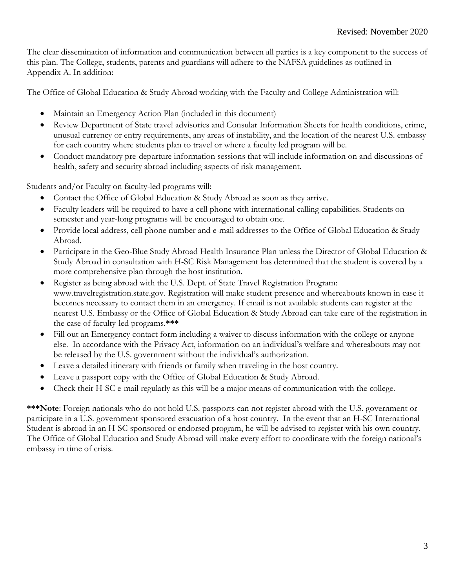The clear dissemination of information and communication between all parties is a key component to the success of this plan. The College, students, parents and guardians will adhere to the NAFSA guidelines as outlined in Appendix A. In addition:

The Office of Global Education & Study Abroad working with the Faculty and College Administration will:

- Maintain an Emergency Action Plan (included in this document)
- Review Department of State travel advisories and Consular Information Sheets for health conditions, crime, unusual currency or entry requirements, any areas of instability, and the location of the nearest U.S. embassy for each country where students plan to travel or where a faculty led program will be.
- Conduct mandatory pre-departure information sessions that will include information on and discussions of health, safety and security abroad including aspects of risk management.

Students and/or Faculty on faculty-led programs will:

- Contact the Office of Global Education & Study Abroad as soon as they arrive.
- Faculty leaders will be required to have a cell phone with international calling capabilities. Students on semester and year-long programs will be encouraged to obtain one.
- Provide local address, cell phone number and e-mail addresses to the Office of Global Education & Study Abroad.
- Participate in the Geo-Blue Study Abroad Health Insurance Plan unless the Director of Global Education & Study Abroad in consultation with H-SC Risk Management has determined that the student is covered by a more comprehensive plan through the host institution.
- Register as being abroad with the U.S. Dept. of State Travel Registration Program: [www.travelregistration.state.gov.](http://www.travelregistration.state.gov/) Registration will make student presence and whereabouts known in case it becomes necessary to contact them in an emergency. If email is not available students can register at the nearest U.S. Embassy or the Office of Global Education & Study Abroad can take care of the registration in the case of faculty-led programs.**\*\*\***
- Fill out an Emergency contact form including a waiver to discuss information with the college or anyone else. In accordance with the Privacy Act, information on an individual's welfare and whereabouts may not be released by the U.S. government without the individual's authorization.
- Leave a detailed itinerary with friends or family when traveling in the host country.
- Leave a passport copy with the Office of Global Education & Study Abroad.
- Check their H-SC e-mail regularly as this will be a major means of communication with the college.

**\*\*\*Note**: Foreign nationals who do not hold U.S. passports can not register abroad with the U.S. government or participate in a U.S. government sponsored evacuation of a host country. In the event that an H-SC International Student is abroad in an H-SC sponsored or endorsed program, he will be advised to register with his own country. The Office of Global Education and Study Abroad will make every effort to coordinate with the foreign national's embassy in time of crisis.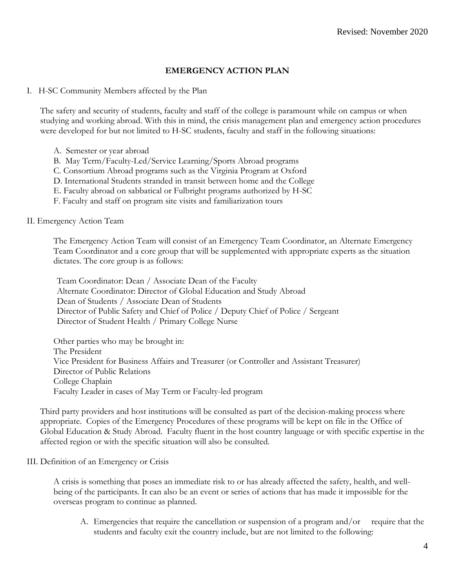# **EMERGENCY ACTION PLAN**

I. H-SC Community Members affected by the Plan

The safety and security of students, faculty and staff of the college is paramount while on campus or when studying and working abroad. With this in mind, the crisis management plan and emergency action procedures were developed for but not limited to H-SC students, faculty and staff in the following situations:

- A. Semester or year abroad
- B. May Term/Faculty-Led/Service Learning/Sports Abroad programs
- C. Consortium Abroad programs such as the Virginia Program at Oxford
- D. International Students stranded in transit between home and the College
- E. Faculty abroad on sabbatical or Fulbright programs authorized by H-SC
- F. Faculty and staff on program site visits and familiarization tours

### II. Emergency Action Team

The Emergency Action Team will consist of an Emergency Team Coordinator, an Alternate Emergency Team Coordinator and a core group that will be supplemented with appropriate experts as the situation dictates. The core group is as follows:

Team Coordinator: Dean / Associate Dean of the Faculty Alternate Coordinator: Director of Global Education and Study Abroad Dean of Students / Associate Dean of Students Director of Public Safety and Chief of Police / Deputy Chief of Police / Sergeant Director of Student Health / Primary College Nurse

Other parties who may be brought in: The President Vice President for Business Affairs and Treasurer (or Controller and Assistant Treasurer) Director of Public Relations College Chaplain Faculty Leader in cases of May Term or Faculty-led program

Third party providers and host institutions will be consulted as part of the decision-making process where appropriate. Copies of the Emergency Procedures of these programs will be kept on file in the Office of Global Education & Study Abroad. Faculty fluent in the host country language or with specific expertise in the affected region or with the specific situation will also be consulted.

### III. Definition of an Emergency or Crisis

A crisis is something that poses an immediate risk to or has already affected the safety, health, and wellbeing of the participants. It can also be an event or series of actions that has made it impossible for the overseas program to continue as planned.

A. Emergencies that require the cancellation or suspension of a program and/or require that the students and faculty exit the country include, but are not limited to the following: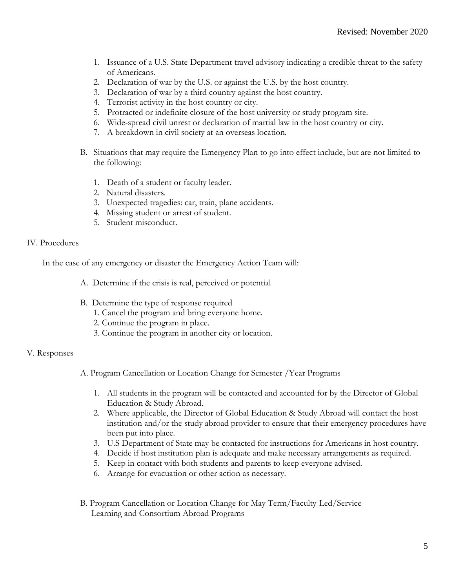- 1. Issuance of a U.S. State Department travel advisory indicating a credible threat to the safety of Americans.
- 2. Declaration of war by the U.S. or against the U.S. by the host country.
- 3. Declaration of war by a third country against the host country.
- 4. Terrorist activity in the host country or city.
- 5. Protracted or indefinite closure of the host university or study program site.
- 6. Wide-spread civil unrest or declaration of martial law in the host country or city.
- 7. A breakdown in civil society at an overseas location.
- B. Situations that may require the Emergency Plan to go into effect include, but are not limited to the following:
	- 1. Death of a student or faculty leader.
	- 2. Natural disasters.
	- 3. Unexpected tragedies: car, train, plane accidents.
	- 4. Missing student or arrest of student.
	- 5. Student misconduct.

### IV. Procedures

In the case of any emergency or disaster the Emergency Action Team will:

- A. Determine if the crisis is real, perceived or potential
- B. Determine the type of response required
	- 1. Cancel the program and bring everyone home.
	- 2. Continue the program in place.
	- 3. Continue the program in another city or location.

# V. Responses

- A. Program Cancellation or Location Change for Semester /Year Programs
	- 1. All students in the program will be contacted and accounted for by the Director of Global Education & Study Abroad.
	- 2. Where applicable, the Director of Global Education & Study Abroad will contact the host institution and/or the study abroad provider to ensure that their emergency procedures have been put into place.
	- 3. U.S Department of State may be contacted for instructions for Americans in host country.
	- 4. Decide if host institution plan is adequate and make necessary arrangements as required.
	- 5. Keep in contact with both students and parents to keep everyone advised.
	- 6. Arrange for evacuation or other action as necessary.
- B. Program Cancellation or Location Change for May Term/Faculty-Led/Service Learning and Consortium Abroad Programs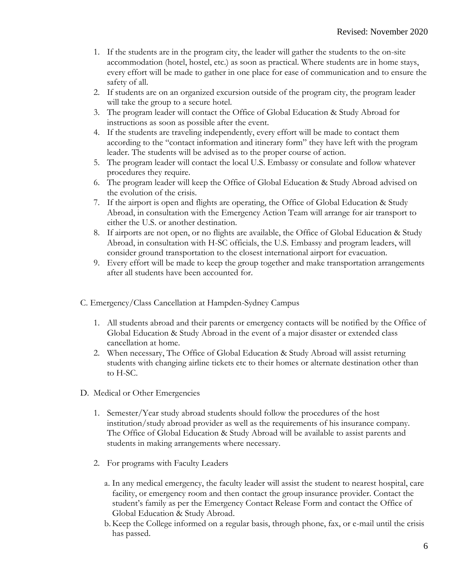- 1. If the students are in the program city, the leader will gather the students to the on-site accommodation (hotel, hostel, etc.) as soon as practical. Where students are in home stays, every effort will be made to gather in one place for ease of communication and to ensure the safety of all.
- 2. If students are on an organized excursion outside of the program city, the program leader will take the group to a secure hotel.
- 3. The program leader will contact the Office of Global Education & Study Abroad for instructions as soon as possible after the event.
- 4. If the students are traveling independently, every effort will be made to contact them according to the "contact information and itinerary form" they have left with the program leader. The students will be advised as to the proper course of action.
- 5. The program leader will contact the local U.S. Embassy or consulate and follow whatever procedures they require.
- 6. The program leader will keep the Office of Global Education & Study Abroad advised on the evolution of the crisis.
- 7. If the airport is open and flights are operating, the Office of Global Education & Study Abroad, in consultation with the Emergency Action Team will arrange for air transport to either the U.S. or another destination.
- 8. If airports are not open, or no flights are available, the Office of Global Education & Study Abroad, in consultation with H-SC officials, the U.S. Embassy and program leaders, will consider ground transportation to the closest international airport for evacuation.
- 9. Every effort will be made to keep the group together and make transportation arrangements after all students have been accounted for.
- C. Emergency/Class Cancellation at Hampden-Sydney Campus
	- 1. All students abroad and their parents or emergency contacts will be notified by the Office of Global Education & Study Abroad in the event of a major disaster or extended class cancellation at home.
	- 2. When necessary, The Office of Global Education & Study Abroad will assist returning students with changing airline tickets etc to their homes or alternate destination other than to H-SC.
- D. Medical or Other Emergencies
	- 1. Semester/Year study abroad students should follow the procedures of the host institution/study abroad provider as well as the requirements of his insurance company. The Office of Global Education & Study Abroad will be available to assist parents and students in making arrangements where necessary.
	- 2. For programs with Faculty Leaders
		- a. In any medical emergency, the faculty leader will assist the student to nearest hospital, care facility, or emergency room and then contact the group insurance provider. Contact the student's family as per the Emergency Contact Release Form and contact the Office of Global Education & Study Abroad.
		- b. Keep the College informed on a regular basis, through phone, fax, or e-mail until the crisis has passed.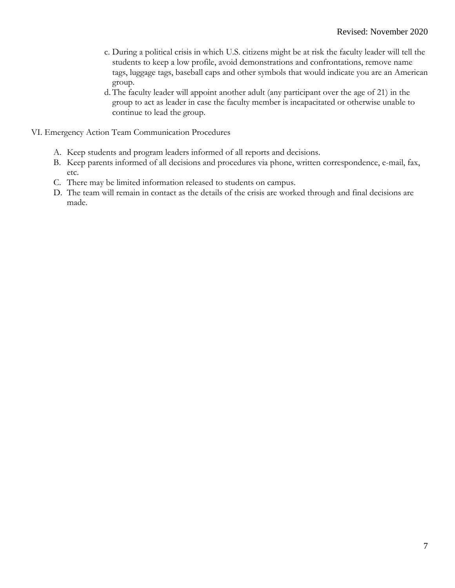- c. During a political crisis in which U.S. citizens might be at risk the faculty leader will tell the students to keep a low profile, avoid demonstrations and confrontations, remove name tags, luggage tags, baseball caps and other symbols that would indicate you are an American group.
- d. The faculty leader will appoint another adult (any participant over the age of 21) in the group to act as leader in case the faculty member is incapacitated or otherwise unable to continue to lead the group.
- VI. Emergency Action Team Communication Procedures
	- A. Keep students and program leaders informed of all reports and decisions.
	- B. Keep parents informed of all decisions and procedures via phone, written correspondence, e-mail, fax, etc.
	- C. There may be limited information released to students on campus.
	- D. The team will remain in contact as the details of the crisis are worked through and final decisions are made.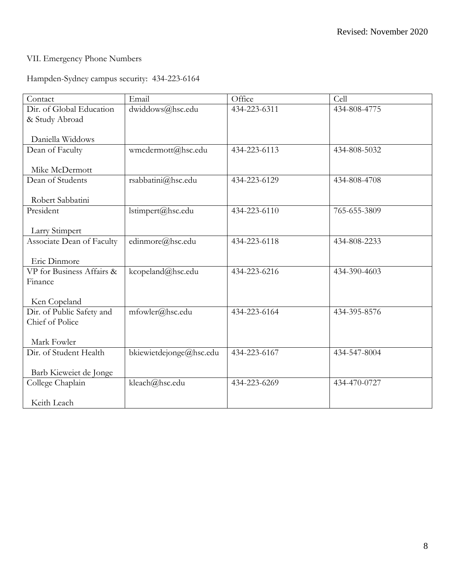# VII. Emergency Phone Numbers

# Hampden-Sydney campus security: 434-223-6164

| Contact                   | Email                   | Office       | Cell         |
|---------------------------|-------------------------|--------------|--------------|
| Dir. of Global Education  | dwiddows@hsc.edu        | 434-223-6311 | 434-808-4775 |
| & Study Abroad            |                         |              |              |
|                           |                         |              |              |
| Daniella Widdows          |                         |              |              |
| Dean of Faculty           | wmcdermott@hsc.edu      | 434-223-6113 | 434-808-5032 |
|                           |                         |              |              |
| Mike McDermott            |                         |              |              |
| Dean of Students          | rsabbatini@hsc.edu      | 434-223-6129 | 434-808-4708 |
|                           |                         |              |              |
| Robert Sabbatini          |                         |              |              |
| President                 | lstimpert@hsc.edu       | 434-223-6110 | 765-655-3809 |
|                           |                         |              |              |
| Larry Stimpert            |                         |              |              |
| Associate Dean of Faculty | edinmore@hsc.edu        | 434-223-6118 | 434-808-2233 |
|                           |                         |              |              |
| Eric Dinmore              |                         |              |              |
| VP for Business Affairs & | kcopeland@hsc.edu       | 434-223-6216 | 434-390-4603 |
| Finance                   |                         |              |              |
|                           |                         |              |              |
| Ken Copeland              |                         |              |              |
| Dir. of Public Safety and | mfowler@hsc.edu         | 434-223-6164 | 434-395-8576 |
| Chief of Police           |                         |              |              |
|                           |                         |              |              |
| Mark Fowler               |                         |              |              |
| Dir. of Student Health    | bkiewietdejonge@hsc.edu | 434-223-6167 | 434-547-8004 |
|                           |                         |              |              |
| Barb Kieweiet de Jonge    |                         |              |              |
| College Chaplain          | kleach@hsc.edu          | 434-223-6269 | 434-470-0727 |
|                           |                         |              |              |
| Keith Leach               |                         |              |              |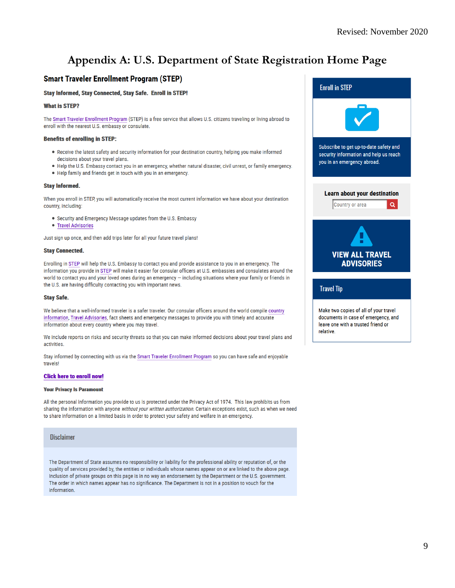# **Appendix A: U.S. Department of State Registration Home Page**

# **Smart Traveler Enrollment Program (STEP)**

### **Stay Informed, Stay Connected, Stay Safe. Enroll in STEP!**

### **What is STEP?**

The Smart Traveler Enrollment Program (STEP) is a free service that allows U.S. citizens traveling or living abroad to enroll with the nearest U.S. embassy or consulate.

### **Benefits of enrolling in STEP:**

- . Receive the latest safety and security information for your destination country, helping you make informed decisions about your travel plans.
- . Help the U.S. Embassy contact you in an emergency, whether natural disaster, civil unrest, or family emergency. • Help family and friends get in touch with you in an emergency.

#### **Stay Informed.**

When you enroll in STEP, you will automatically receive the most current information we have about your destination country, including:

- Security and Emergency Message updates from the U.S. Embassy
- Travel Advisories

Just sign up once, and then add trips later for all your future travel plans!

#### **Stay Connected.**

Enrolling in STEP will help the U.S. Embassy to contact you and provide assistance to you in an emergency. The information you provide in STEP will make it easier for consular officers at U.S. embassies and consulates around the world to contact you and your loved ones during an emergency - including situations where your family or friends in the U.S. are having difficulty contacting you with important news.

#### **Stay Safe.**

We believe that a well-informed traveler is a safer traveler. Our consular officers around the world compile country information, Travel Advisories, fact sheets and emergency messages to provide you with timely and accurate information about every country where you may travel.

We include reports on risks and security threats so that you can make informed decisions about your travel plans and activities.

Stay informed by connecting with us via the Smart Traveler Enrollment Program so you can have safe and enjoyable travels!

#### **Click here to enroll now!**

#### **Your Privacy Is Paramount**

All the personal information you provide to us is protected under the Privacy Act of 1974. This law prohibits us from sharing the information with anyone without your written authorization. Certain exceptions exist, such as when we need to share information on a limited basis in order to protect your safety and welfare in an emergency.

#### **Disclaimer**

The Department of State assumes no responsibility or liability for the professional ability or reputation of, or the quality of services provided by, the entities or individuals whose names appear on or are linked to the above page. Inclusion of private groups on this page is in no way an endorsement by the Department or the U.S. government. The order in which names appear has no significance. The Department is not in a position to vouch for the information.